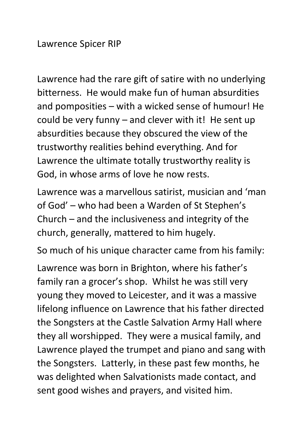Lawrence Spicer RIP

Lawrence had the rare gift of satire with no underlying bitterness. He would make fun of human absurdities and pomposities – with a wicked sense of humour! He could be very funny – and clever with it! He sent up absurdities because they obscured the view of the trustworthy realities behind everything. And for Lawrence the ultimate totally trustworthy reality is God, in whose arms of love he now rests.

Lawrence was a marvellous satirist, musician and 'man of God' – who had been a Warden of St Stephen's Church – and the inclusiveness and integrity of the church, generally, mattered to him hugely.

So much of his unique character came from his family:

Lawrence was born in Brighton, where his father's family ran a grocer's shop. Whilst he was still very young they moved to Leicester, and it was a massive lifelong influence on Lawrence that his father directed the Songsters at the Castle Salvation Army Hall where they all worshipped. They were a musical family, and Lawrence played the trumpet and piano and sang with the Songsters. Latterly, in these past few months, he was delighted when Salvationists made contact, and sent good wishes and prayers, and visited him.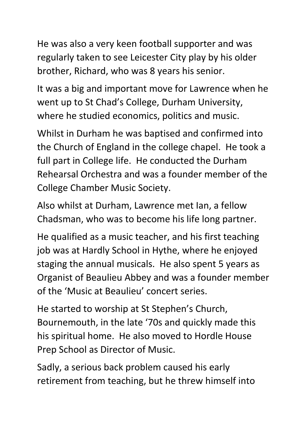He was also a very keen football supporter and was regularly taken to see Leicester City play by his older brother, Richard, who was 8 years his senior.

It was a big and important move for Lawrence when he went up to St Chad's College, Durham University, where he studied economics, politics and music.

Whilst in Durham he was baptised and confirmed into the Church of England in the college chapel. He took a full part in College life. He conducted the Durham Rehearsal Orchestra and was a founder member of the College Chamber Music Society.

Also whilst at Durham, Lawrence met Ian, a fellow Chadsman, who was to become his life long partner.

He qualified as a music teacher, and his first teaching job was at Hardly School in Hythe, where he enjoyed staging the annual musicals. He also spent 5 years as Organist of Beaulieu Abbey and was a founder member of the 'Music at Beaulieu' concert series.

He started to worship at St Stephen's Church, Bournemouth, in the late '70s and quickly made this his spiritual home. He also moved to Hordle House Prep School as Director of Music.

Sadly, a serious back problem caused his early retirement from teaching, but he threw himself into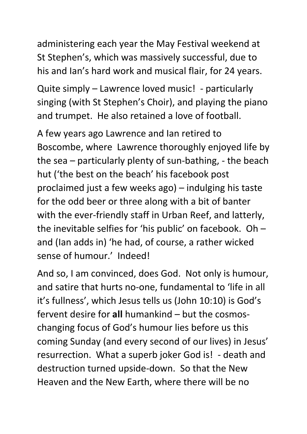administering each year the May Festival weekend at St Stephen's, which was massively successful, due to his and Ian's hard work and musical flair, for 24 years.

Quite simply – Lawrence loved music! - particularly singing (with St Stephen's Choir), and playing the piano and trumpet. He also retained a love of football.

A few years ago Lawrence and Ian retired to Boscombe, where Lawrence thoroughly enjoyed life by the sea – particularly plenty of sun-bathing, - the beach hut ('the best on the beach' his facebook post proclaimed just a few weeks ago) – indulging his taste for the odd beer or three along with a bit of banter with the ever-friendly staff in Urban Reef, and latterly, the inevitable selfies for 'his public' on facebook. Oh – and (Ian adds in) 'he had, of course, a rather wicked sense of humour.' Indeed!

And so, I am convinced, does God. Not only is humour, and satire that hurts no-one, fundamental to 'life in all it's fullness', which Jesus tells us (John 10:10) is God's fervent desire for **all** humankind – but the cosmoschanging focus of God's humour lies before us this coming Sunday (and every second of our lives) in Jesus' resurrection. What a superb joker God is! - death and destruction turned upside-down. So that the New Heaven and the New Earth, where there will be no